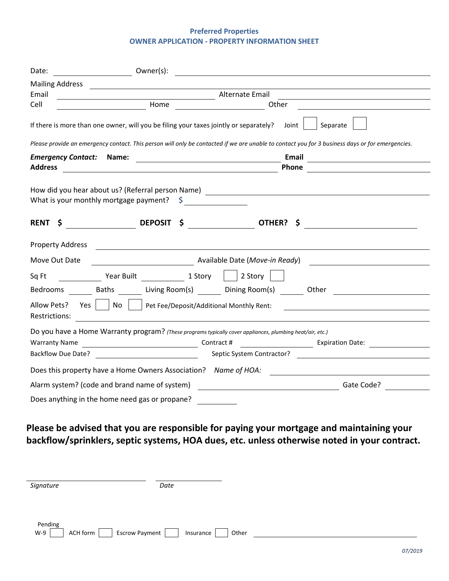## **Preferred Properties OWNER APPLICATION - PROPERTY INFORMATION SHEET**

| Date:                                                       | Owner(s):<br><u> 1980 - Jan Samuel Barbara, margaret e populazion del control del control del control de la control de la con</u>                                               |  |
|-------------------------------------------------------------|---------------------------------------------------------------------------------------------------------------------------------------------------------------------------------|--|
| <b>Mailing Address</b>                                      | the contract of the contract of the contract of the                                                                                                                             |  |
| Email                                                       | Alternate Email                                                                                                                                                                 |  |
| Cell                                                        | Home<br>Other                                                                                                                                                                   |  |
|                                                             | Separate<br>If there is more than one owner, will you be filing your taxes jointly or separately?<br>Joint                                                                      |  |
|                                                             | Please provide an emergency contact. This person will only be contacted if we are unable to contact you for 3 business days or for emergencies.                                 |  |
| <b>Emergency Contact:</b>                                   | Email<br>Name:                                                                                                                                                                  |  |
| <b>Address</b>                                              | Phone<br><u> 1989 - Johann Harry Harry Harry Harry Harry Harry Harry Harry Harry Harry Harry Harry Harry Harry Harry Harry</u>                                                  |  |
| <b>RENT</b><br>\$                                           | What is your monthly mortgage payment? $\sin \frac{1}{2}$<br>DEPOSIT \$ OTHER? \$                                                                                               |  |
| Property Address                                            |                                                                                                                                                                                 |  |
| Move Out Date                                               | Available Date (Move-in Ready)                                                                                                                                                  |  |
| Sq Ft                                                       | Year Built 1 Story   2 Story                                                                                                                                                    |  |
|                                                             | Bedrooms _________ Baths _________ Living Room(s) ________ Dining Room(s) _______ Other __________________                                                                      |  |
| Allow Pets?<br>Restrictions:                                | Yes     No     Pet Fee/Deposit/Additional Monthly Rent:                                                                                                                         |  |
| <b>Warranty Name</b><br><b>Backflow Due Date?</b>           | Do you have a Home Warranty program? (These programs typically cover appliances, plumbing heat/air, etc.)<br><b>Expiration Date:</b><br>Contract #<br>Septic System Contractor? |  |
|                                                             |                                                                                                                                                                                 |  |
|                                                             | Does this property have a Home Owners Association? Name of HOA:                                                                                                                 |  |
| Alarm system? (code and brand name of system)<br>Gate Code? |                                                                                                                                                                                 |  |
|                                                             | Does anything in the home need gas or propane?                                                                                                                                  |  |

## **Please be advised that you are responsible for paying your mortgage and maintaining your backflow/sprinklers, septic systems, HOA dues, etc. unless otherwise noted in your contract.**

| Signature                                      | Date               |
|------------------------------------------------|--------------------|
|                                                |                    |
| Pending<br>ACH form<br>Escrow Payment<br>$W-9$ | Insurance<br>Other |